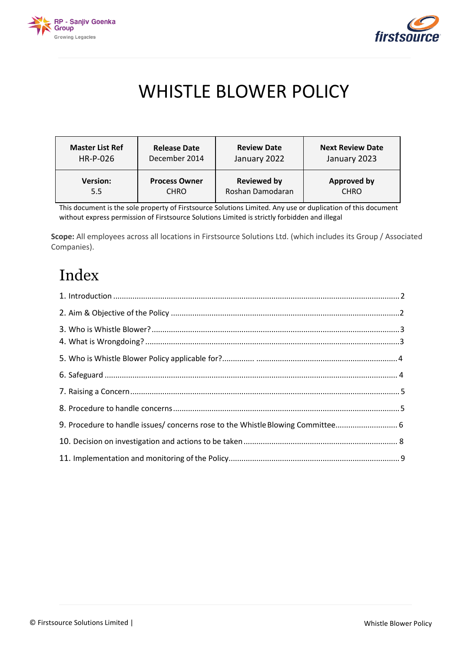



# WHISTLE BLOWER POLICY

| <b>Master List Ref</b> | <b>Release Date</b>  | <b>Review Date</b> | <b>Next Review Date</b> |
|------------------------|----------------------|--------------------|-------------------------|
| HR-P-026               | December 2014        | January 2022       | January 2023            |
| <b>Version:</b>        | <b>Process Owner</b> | <b>Reviewed by</b> | <b>Approved by</b>      |
| 5.5                    | <b>CHRO</b>          | Roshan Damodaran   | <b>CHRO</b>             |

This document is the sole property of Firstsource Solutions Limited. Any use or duplication of this document without express permission of Firstsource Solutions Limited is strictly forbidden and illegal

**Scope:** All employees across all locations in Firstsource Solutions Ltd. (which includes its Group / Associated Companies).

# Index

| 9. Procedure to handle issues/ concerns rose to the Whistle Blowing Committee 6 |  |
|---------------------------------------------------------------------------------|--|
|                                                                                 |  |
|                                                                                 |  |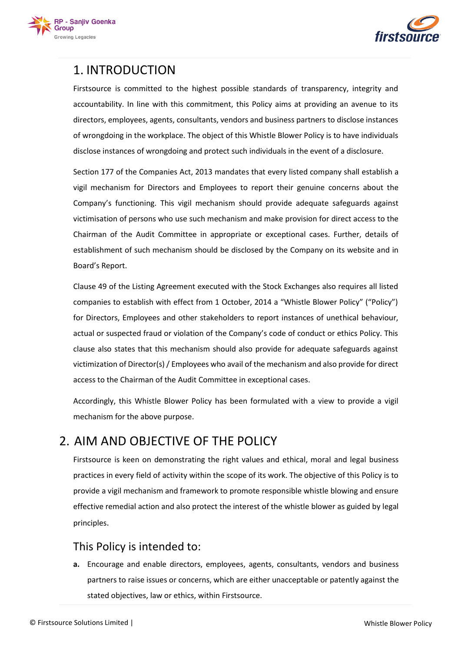



# <span id="page-1-0"></span>1. INTRODUCTION

Firstsource is committed to the highest possible standards of transparency, integrity and accountability. In line with this commitment, this Policy aims at providing an avenue to its directors, employees, agents, consultants, vendors and business partners to disclose instances of wrongdoing in the workplace. The object of this Whistle Blower Policy is to have individuals disclose instances of wrongdoing and protect such individuals in the event of a disclosure.

Section 177 of the Companies Act, 2013 mandates that every listed company shall establish a vigil mechanism for Directors and Employees to report their genuine concerns about the Company's functioning. This vigil mechanism should provide adequate safeguards against victimisation of persons who use such mechanism and make provision for direct access to the Chairman of the Audit Committee in appropriate or exceptional cases. Further, details of establishment of such mechanism should be disclosed by the Company on its website and in Board's Report.

Clause 49 of the Listing Agreement executed with the Stock Exchanges also requires all listed companies to establish with effect from 1 October, 2014 a "Whistle Blower Policy" ("Policy") for Directors, Employees and other stakeholders to report instances of unethical behaviour, actual or suspected fraud or violation of the Company's code of conduct or ethics Policy. This clause also states that this mechanism should also provide for adequate safeguards against victimization of Director(s) / Employees who avail of the mechanism and also provide for direct access to the Chairman of the Audit Committee in exceptional cases.

Accordingly, this Whistle Blower Policy has been formulated with a view to provide a vigil mechanism for the above purpose.

### 2. AIM AND OBJECTIVE OF THE POLICY

Firstsource is keen on demonstrating the right values and ethical, moral and legal business practices in every field of activity within the scope of its work. The objective of this Policy is to provide a vigil mechanism and framework to promote responsible whistle blowing and ensure effective remedial action and also protect the interest of the whistle blower as guided by legal principles.

### This Policy is intended to:

**a.** Encourage and enable directors, employees, agents, consultants, vendors and business partners to raise issues or concerns, which are either unacceptable or patently against the stated objectives, law or ethics, within Firstsource.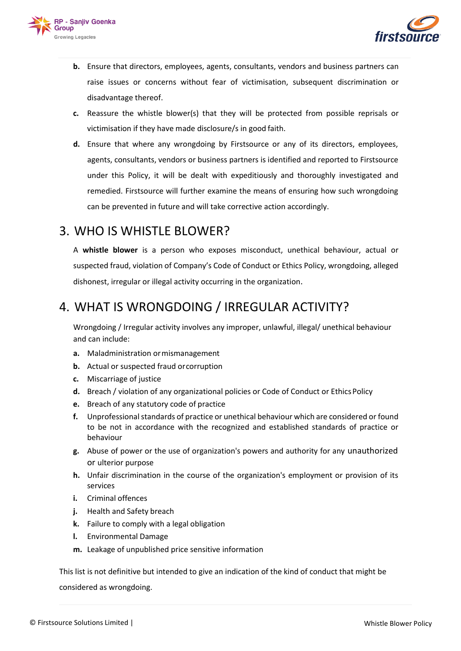



- **b.** Ensure that directors, employees, agents, consultants, vendors and business partners can raise issues or concerns without fear of victimisation, subsequent discrimination or disadvantage thereof.
- **c.** Reassure the whistle blower(s) that they will be protected from possible reprisals or victimisation if they have made disclosure/s in good faith.
- **d.** Ensure that where any wrongdoing by Firstsource or any of its directors, employees, agents, consultants, vendors or business partners is identified and reported to Firstsource under this Policy, it will be dealt with expeditiously and thoroughly investigated and remedied. Firstsource will further examine the means of ensuring how such wrongdoing can be prevented in future and will take corrective action accordingly.

### <span id="page-2-0"></span>3. WHO IS WHISTLE BLOWER?

A **whistle blower** is a person who exposes [misconduct, u](http://en.wikipedia.org/wiki/Misconduct)nethical behaviour, actual or suspected fraud, violation of Company's Code of Conduct or Ethics Policy, wrongdoing, alleged dishonest, irregular or illegal activity occurring in the organization.

### 4. WHAT IS WRONGDOING / IRREGULAR ACTIVITY?

Wrongdoing / Irregular activity involves any improper, unlawful, illegal/ unethical behaviour and can include:

- **a.** Maladministration ormismanagement
- **b.** Actual or suspected fraud orcorruption
- **c.** Miscarriage of justice
- **d.** Breach / violation of any organizational policies or Code of Conduct or Ethics Policy
- **e.** Breach of any statutory code of practice
- **f.** Unprofessional standards of practice or unethical behaviour which are considered or found to be not in accordance with the recognized and established standards of practice or behaviour
- **g.** Abuse of power or the use of organization's powers and authority for any unauthorized or ulterior purpose
- **h.** Unfair discrimination in the course of the organization's employment or provision of its services
- **i.** Criminal offences
- **j.** Health and Safety breach
- **k.** Failure to comply with a legal obligation
- **l.** Environmental Damage
- **m.** Leakage of unpublished price sensitive information

This list is not definitive but intended to give an indication of the kind of conduct that might be considered as wrongdoing.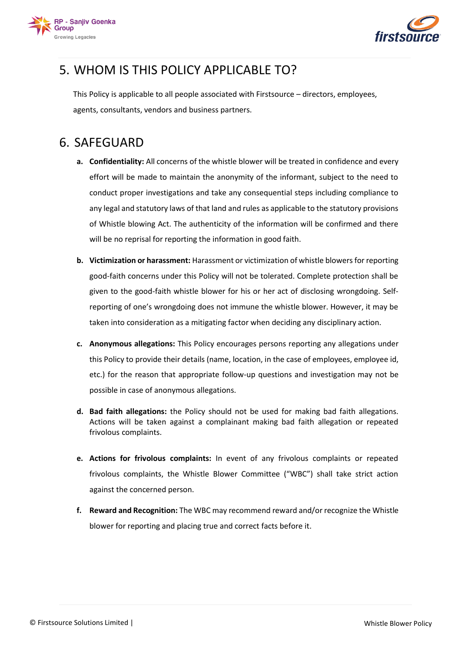



# 5. WHOM IS THIS POLICY APPLICABLE TO?

This Policy is applicable to all people associated with Firstsource – directors, employees, agents, consultants, vendors and business partners.

### <span id="page-3-0"></span>6. SAFEGUARD

- **a. Confidentiality:** All concerns of the whistle blower will be treated in confidence and every effort will be made to maintain the anonymity of the informant, subject to the need to conduct proper investigations and take any consequential steps including compliance to any legal and statutory laws of that land and rules as applicable to the statutory provisions of Whistle blowing Act. The authenticity of the information will be confirmed and there will be no reprisal for reporting the information in good faith.
- **b. Victimization or harassment:** Harassment or victimization of whistle blowers for reporting good-faith concerns under this Policy will not be tolerated. Complete protection shall be given to the good-faith whistle blower for his or her act of disclosing wrongdoing. Selfreporting of one's wrongdoing does not immune the whistle blower. However, it may be taken into consideration as a mitigating factor when deciding any disciplinary action.
- **c. Anonymous allegations:** This Policy encourages persons reporting any allegations under this Policy to provide their details (name, location, in the case of employees, employee id, etc.) for the reason that appropriate follow-up questions and investigation may not be possible in case of anonymous allegations.
- **d. Bad faith allegations:** the Policy should not be used for making bad faith allegations. Actions will be taken against a complainant making bad faith allegation or repeated frivolous complaints.
- **e. Actions for frivolous complaints:** In event of any frivolous complaints or repeated frivolous complaints, the Whistle Blower Committee ("WBC") shall take strict action against the concerned person.
- **f. Reward and Recognition:** The WBC may recommend reward and/or recognize the Whistle blower for reporting and placing true and correct facts before it.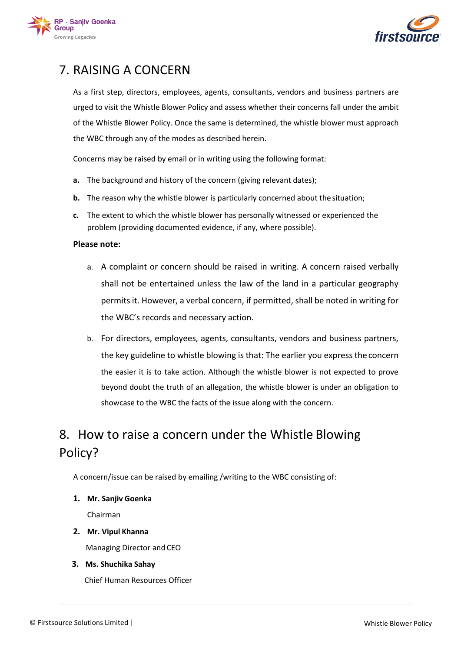



# <span id="page-4-0"></span>7. RAISING A CONCERN

As a first step, directors, employees, agents, consultants, vendors and business partners are urged to visit the Whistle Blower Policy and assess whether their concerns fall under the ambit of the Whistle Blower Policy. Once the same is determined, the whistle blower must approach the WBC through any of the modes as described herein.

Concerns may be raised by email or in writing using the following format:

- **a.** The background and history of the concern (giving relevant dates);
- **b.** The reason why the whistle blower is particularly concerned about the situation;
- **c.** The extent to which the whistle blower has personally witnessed or experienced the problem (providing documented evidence, if any, where possible).

#### **Please note:**

- a. A complaint or concern should be raised in writing. A concern raised verbally shall not be entertained unless the law of the land in a particular geography permits it. However, a verbal concern, if permitted, shall be noted in writing for the WBC's records and necessary action.
- b. For directors, employees, agents, consultants, vendors and business partners, the key guideline to whistle blowing is that: The earlier you express the concern the easier it is to take action. Although the whistle blower is not expected to prove beyond doubt the truth of an allegation, the whistle blower is under an obligation to showcase to the WBC the facts of the issue along with the concern.

# 8. How to raise a concern under the Whistle Blowing Policy?

A concern/issue can be raised by emailing /writing to the WBC consisting of:

**1. Mr. Sanjiv Goenka**

Chairman

- **2. Mr. Vipul Khanna** Managing Director and CEO
- **3. Ms. Shuchika Sahay**

Chief Human Resources Officer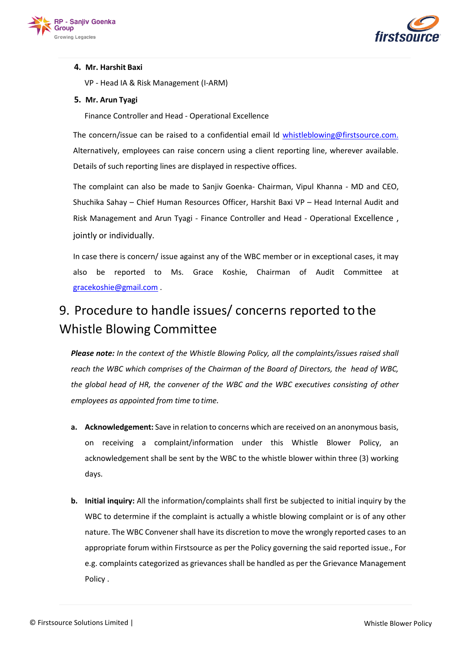



#### **4. Mr. Harshit Baxi**

VP - Head IA & Risk Management (I-ARM)

#### **5. Mr. Arun Tyagi**

Finance Controller and Head - Operational Excellence

The concern/issue can be raised to a confidential email Id [whistleblowing@firstsource.com.](mailto:whistleblowing@firstsource.com) Alternatively, employees can raise concern using a client reporting line, wherever available. Details of such reporting lines are displayed in respective offices.

The complaint can also be made to Sanjiv Goenka- Chairman, Vipul Khanna - MD and CEO, Shuchika Sahay – Chief Human Resources Officer, Harshit Baxi VP – Head Internal Audit and Risk Management and Arun Tyagi - Finance Controller and Head - Operational Excellence , jointly or individually.

In case there is concern/ issue against any of the WBC member or in exceptional cases, it may also be reported to Ms. Grace Koshie, Chairman of Audit Committee at [gracekoshie@gmail.com](mailto:gracekoshie@gmail.com) .

# 9. Procedure to handle issues/ concerns reported to the Whistle Blowing Committee

*Please note: In the context of the Whistle Blowing Policy, all the complaints/issues raised shall reach the WBC which comprises of the Chairman of the Board of Directors, the head of WBC, the global head of HR, the convener of the WBC and the WBC executives consisting of other employees as appointed from time to time.*

- **a. Acknowledgement:** Save in relation to concerns which are received on an anonymous basis, on receiving a complaint/information under this Whistle Blower Policy, an acknowledgement shall be sent by the WBC to the whistle blower within three (3) working days.
- **b. Initial inquiry:** All the information/complaints shall first be subjected to initial inquiry by the WBC to determine if the complaint is actually a whistle blowing complaint or is of any other nature. The WBC Convener shall have its discretion to move the wrongly reported cases to an appropriate forum within Firstsource as per the Policy governing the said reported issue., For e.g. complaints categorized as grievances shall be handled as per the Grievance Management Policy .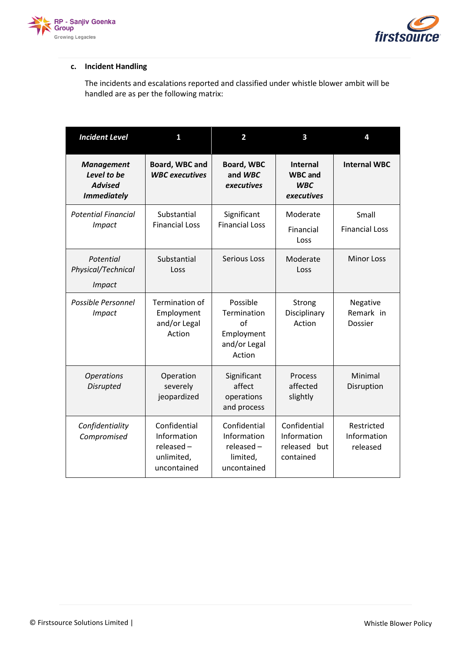



#### **c. Incident Handling**

The incidents and escalations reported and classified under whistle blower ambit will be handled are as per the following matrix:

| <b>Incident Level</b>                                                    | 1                                                                        | 2                                                                      | 3                                                             | 4                                     |
|--------------------------------------------------------------------------|--------------------------------------------------------------------------|------------------------------------------------------------------------|---------------------------------------------------------------|---------------------------------------|
| <b>Management</b><br>Level to be<br><b>Advised</b><br><b>Immediately</b> | Board, WBC and<br><b>WBC</b> executives                                  | <b>Board, WBC</b><br>and WBC<br>executives                             | <b>Internal</b><br><b>WBC</b> and<br><b>WBC</b><br>executives | <b>Internal WBC</b>                   |
| <b>Potential Financial</b><br><b>Impact</b>                              | Substantial<br><b>Financial Loss</b>                                     | Significant<br><b>Financial Loss</b>                                   | Moderate<br>Financial<br>Loss                                 | Small<br><b>Financial Loss</b>        |
| Potential<br>Physical/Technical<br><b>Impact</b>                         | Substantial<br>Loss                                                      | <b>Serious Loss</b>                                                    | Moderate<br>Loss                                              | <b>Minor Loss</b>                     |
| Possible Personnel<br><b>Impact</b>                                      | <b>Termination of</b><br>Employment<br>and/or Legal<br>Action            | Possible<br>Termination<br>of<br>Employment<br>and/or Legal<br>Action  | Strong<br>Disciplinary<br>Action                              | Negative<br>Remark in<br>Dossier      |
| <b>Operations</b><br><b>Disrupted</b>                                    | Operation<br>severely<br>jeopardized                                     | Significant<br>affect<br>operations<br>and process                     | Process<br>affected<br>slightly                               | Minimal<br>Disruption                 |
| Confidentiality<br>Compromised                                           | Confidential<br>Information<br>$released -$<br>unlimited,<br>uncontained | Confidential<br>Information<br>$relensed -$<br>limited,<br>uncontained | Confidential<br>Information<br>released but<br>contained      | Restricted<br>Information<br>released |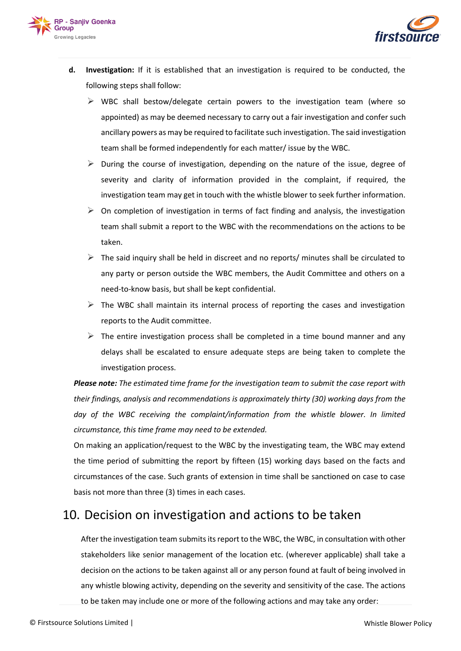



- **d. Investigation:** If it is established that an investigation is required to be conducted, the following steps shall follow:
	- $\triangleright$  WBC shall bestow/delegate certain powers to the investigation team (where so appointed) as may be deemed necessary to carry out a fair investigation and confer such ancillary powers as may be required to facilitate such investigation. The said investigation team shall be formed independently for each matter/ issue by the WBC.
	- $\triangleright$  During the course of investigation, depending on the nature of the issue, degree of severity and clarity of information provided in the complaint, if required, the investigation team may get in touch with the whistle blower to seek further information.
	- $\triangleright$  On completion of investigation in terms of fact finding and analysis, the investigation team shall submit a report to the WBC with the recommendations on the actions to be taken.
	- $\triangleright$  The said inquiry shall be held in discreet and no reports/ minutes shall be circulated to any party or person outside the WBC members, the Audit Committee and others on a need-to-know basis, but shall be kept confidential.
	- $\triangleright$  The WBC shall maintain its internal process of reporting the cases and investigation reports to the Audit committee.
	- $\triangleright$  The entire investigation process shall be completed in a time bound manner and any delays shall be escalated to ensure adequate steps are being taken to complete the investigation process.

*Please note: The estimated time frame for the investigation team to submit the case report with their findings, analysis and recommendations is approximately thirty (30) working days from the*  day of the WBC receiving the complaint/information from the whistle blower. In limited *circumstance, this time frame may need to be extended.*

On making an application/request to the WBC by the investigating team, the WBC may extend the time period of submitting the report by fifteen (15) working days based on the facts and circumstances of the case. Such grants of extension in time shall be sanctioned on case to case basis not more than three (3) times in each cases.

## <span id="page-7-0"></span>10. Decision on investigation and actions to be taken

After the investigation team submits its report to the WBC, the WBC, in consultation with other stakeholders like senior management of the location etc. (wherever applicable) shall take a decision on the actions to be taken against all or any person found at fault of being involved in any whistle blowing activity, depending on the severity and sensitivity of the case. The actions to be taken may include one or more of the following actions and may take any order: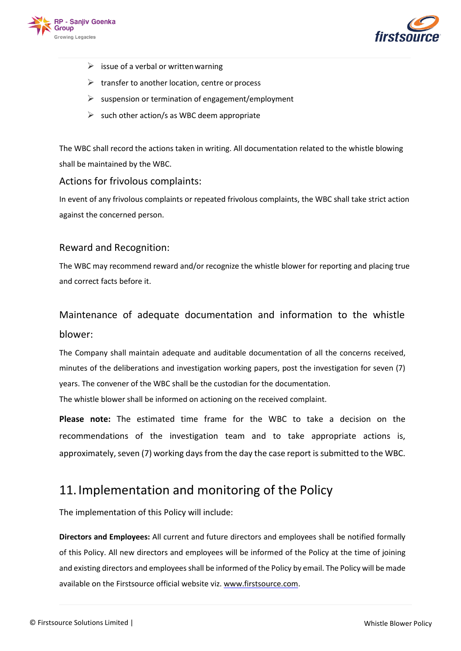



- $\triangleright$  issue of a verbal or written warning
- $\triangleright$  transfer to another location, centre or process
- $\triangleright$  suspension or termination of engagement/employment
- $\triangleright$  such other action/s as WBC deem appropriate

The WBC shall record the actions taken in writing. All documentation related to the whistle blowing shall be maintained by the WBC.

#### Actions for frivolous complaints:

In event of any frivolous complaints or repeated frivolous complaints, the WBC shall take strict action against the concerned person.

#### Reward and Recognition:

The WBC may recommend reward and/or recognize the whistle blower for reporting and placing true and correct facts before it.

# Maintenance of adequate documentation and information to the whistle blower:

The Company shall maintain adequate and auditable documentation of all the concerns received, minutes of the deliberations and investigation working papers, post the investigation for seven (7) years. The convener of the WBC shall be the custodian for the documentation.

The whistle blower shall be informed on actioning on the received complaint.

**Please note:** The estimated time frame for the WBC to take a decision on the recommendations of the investigation team and to take appropriate actions is, approximately, seven (7) working days from the day the case report is submitted to the WBC.

### <span id="page-8-0"></span>11.Implementation and monitoring of the Policy

The implementation of this Policy will include:

**Directors and Employees:** All current and future directors and employees shall be notified formally of this Policy. All new directors and employees will be informed of the Policy at the time of joining and existing directors and employees shall be informed of the Policy by email. The Policy will be made available on the Firstsource official website viz. [www.firstsource.com.](http://www.firstsource.com/)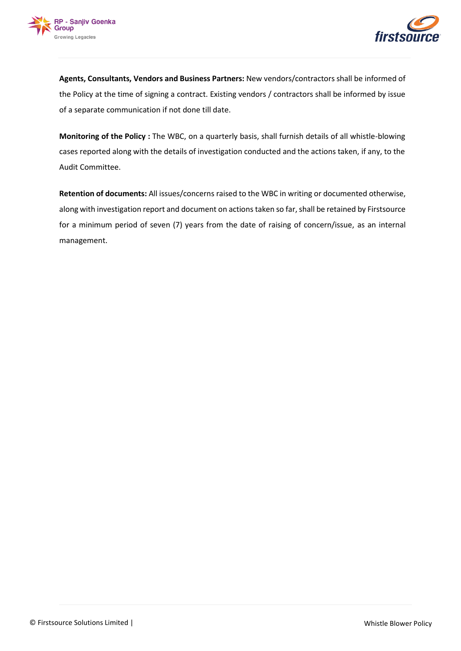



**Agents, Consultants, Vendors and Business Partners:** New vendors/contractors shall be informed of the Policy at the time of signing a contract. Existing vendors / contractors shall be informed by issue of a separate communication if not done till date.

**Monitoring of the Policy :** The WBC, on a quarterly basis, shall furnish details of all whistle-blowing cases reported along with the details of investigation conducted and the actions taken, if any, to the Audit Committee.

**Retention of documents:** All issues/concerns raised to the WBC in writing or documented otherwise, along with investigation report and document on actions taken so far, shall be retained by Firstsource for a minimum period of seven (7) years from the date of raising of concern/issue, as an internal management.